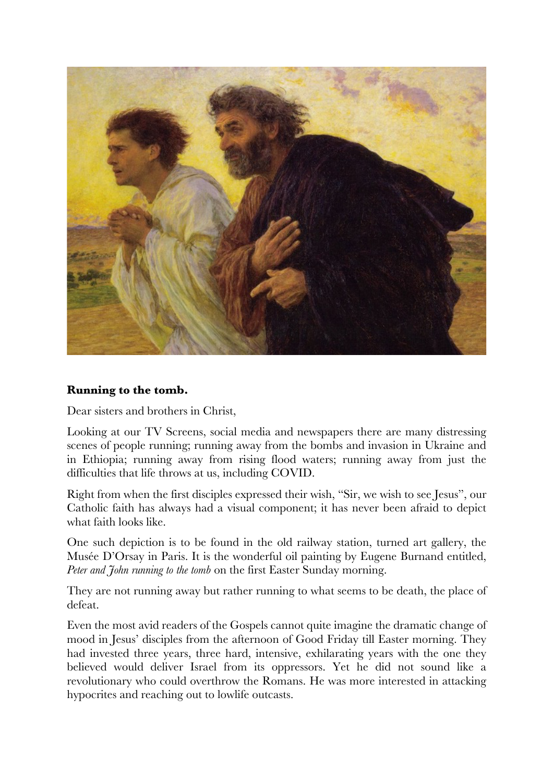

## **Running to the tomb.**

Dear sisters and brothers in Christ,

Looking at our TV Screens, social media and newspapers there are many distressing scenes of people running; running away from the bombs and invasion in Ukraine and in Ethiopia; running away from rising flood waters; running away from just the difficulties that life throws at us, including COVID.

Right from when the first disciples expressed their wish, "Sir, we wish to see Jesus", our Catholic faith has always had a visual component; it has never been afraid to depict what faith looks like.

One such depiction is to be found in the old railway station, turned art gallery, the Musée D'Orsay in Paris. It is the wonderful oil painting by Eugene Burnand entitled, *Peter and John running to the tomb* on the first Easter Sunday morning.

They are not running away but rather running to what seems to be death, the place of defeat.

Even the most avid readers of the Gospels cannot quite imagine the dramatic change of mood in Jesus' disciples from the afternoon of Good Friday till Easter morning. They had invested three years, three hard, intensive, exhilarating years with the one they believed would deliver Israel from its oppressors. Yet he did not sound like a revolutionary who could overthrow the Romans. He was more interested in attacking hypocrites and reaching out to lowlife outcasts.